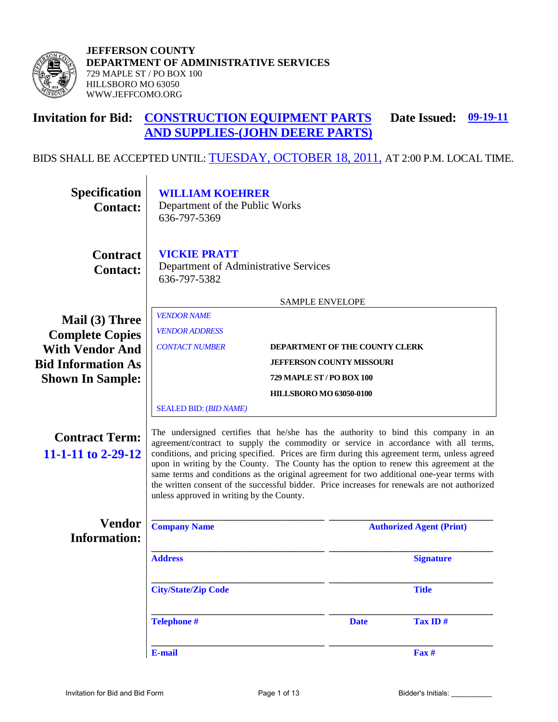

#### **Invitation for Bid: CONSTRUCTION EQUIPMENT PARTS AND SUPPLIES-(JOHN DEERE PARTS)**Date Issued: 09-19-11

BIDS SHALL BE ACCEPTED UNTIL: TUESDAY, OCTOBER 18, 2011, AT 2:00 P.M. LOCAL TIME.

| Specification<br><b>Contact:</b>            | <b>WILLIAM KOEHRER</b><br>Department of the Public Works<br>636-797-5369                                                                                                                                                                                                                                                                                                                                                                                                                                                                                                                                         |                        |                                  |                                 |
|---------------------------------------------|------------------------------------------------------------------------------------------------------------------------------------------------------------------------------------------------------------------------------------------------------------------------------------------------------------------------------------------------------------------------------------------------------------------------------------------------------------------------------------------------------------------------------------------------------------------------------------------------------------------|------------------------|----------------------------------|---------------------------------|
| <b>Contract</b><br><b>Contact:</b>          | <b>VICKIE PRATT</b><br>Department of Administrative Services<br>636-797-5382                                                                                                                                                                                                                                                                                                                                                                                                                                                                                                                                     |                        |                                  |                                 |
|                                             |                                                                                                                                                                                                                                                                                                                                                                                                                                                                                                                                                                                                                  | <b>SAMPLE ENVELOPE</b> |                                  |                                 |
| Mail (3) Three<br><b>Complete Copies</b>    | <b>VENDOR NAME</b><br><b>VENDOR ADDRESS</b>                                                                                                                                                                                                                                                                                                                                                                                                                                                                                                                                                                      |                        |                                  |                                 |
| <b>With Vendor And</b>                      | <b>CONTACT NUMBER</b><br>DEPARTMENT OF THE COUNTY CLERK                                                                                                                                                                                                                                                                                                                                                                                                                                                                                                                                                          |                        |                                  |                                 |
| <b>Bid Information As</b>                   |                                                                                                                                                                                                                                                                                                                                                                                                                                                                                                                                                                                                                  |                        | <b>JEFFERSON COUNTY MISSOURI</b> |                                 |
| <b>Shown In Sample:</b>                     | 729 MAPLE ST / PO BOX 100                                                                                                                                                                                                                                                                                                                                                                                                                                                                                                                                                                                        |                        |                                  |                                 |
|                                             | <b>HILLSBORO MO 63050-0100</b>                                                                                                                                                                                                                                                                                                                                                                                                                                                                                                                                                                                   |                        |                                  |                                 |
|                                             | <b>SEALED BID: (BID NAME)</b>                                                                                                                                                                                                                                                                                                                                                                                                                                                                                                                                                                                    |                        |                                  |                                 |
| <b>Contract Term:</b><br>11-1-11 to 2-29-12 | The undersigned certifies that he/she has the authority to bind this company in an<br>agreement/contract to supply the commodity or service in accordance with all terms,<br>conditions, and pricing specified. Prices are firm during this agreement term, unless agreed<br>upon in writing by the County. The County has the option to renew this agreement at the<br>same terms and conditions as the original agreement for two additional one-year terms with<br>the written consent of the successful bidder. Price increases for renewals are not authorized<br>unless approved in writing by the County. |                        |                                  |                                 |
| <b>Vendor</b><br><b>Information:</b>        | <b>Company Name</b>                                                                                                                                                                                                                                                                                                                                                                                                                                                                                                                                                                                              |                        |                                  | <b>Authorized Agent (Print)</b> |
|                                             | <b>Address</b>                                                                                                                                                                                                                                                                                                                                                                                                                                                                                                                                                                                                   |                        |                                  | <b>Signature</b>                |
|                                             | <b>City/State/Zip Code</b>                                                                                                                                                                                                                                                                                                                                                                                                                                                                                                                                                                                       |                        |                                  | <b>Title</b>                    |
|                                             | <b>Telephone #</b>                                                                                                                                                                                                                                                                                                                                                                                                                                                                                                                                                                                               |                        | <b>Date</b>                      | Tax ID#                         |
|                                             | E-mail                                                                                                                                                                                                                                                                                                                                                                                                                                                                                                                                                                                                           |                        |                                  | Fax #                           |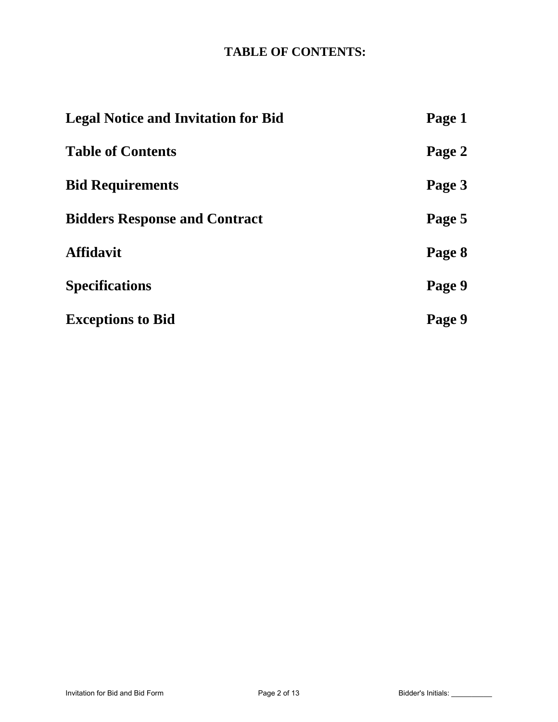# **TABLE OF CONTENTS:**

| <b>Legal Notice and Invitation for Bid</b> | Page 1 |
|--------------------------------------------|--------|
| <b>Table of Contents</b>                   | Page 2 |
| <b>Bid Requirements</b>                    | Page 3 |
| <b>Bidders Response and Contract</b>       | Page 5 |
| <b>Affidavit</b>                           | Page 8 |
| <b>Specifications</b>                      | Page 9 |
| <b>Exceptions to Bid</b>                   | Page 9 |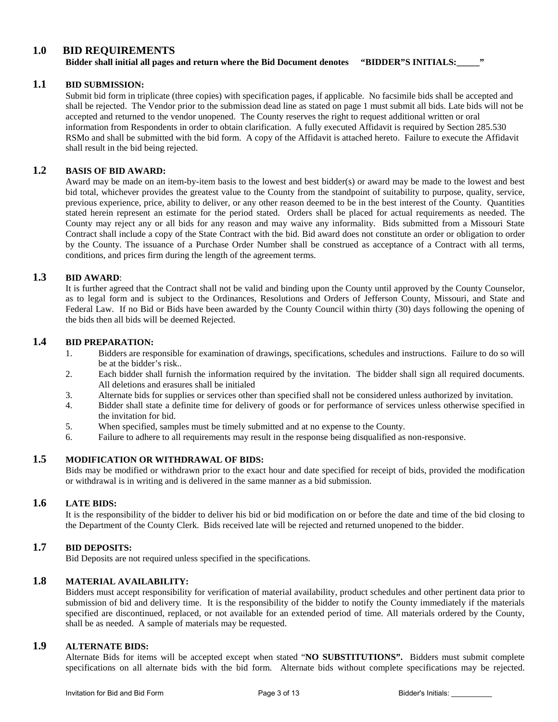### **1.0 BID REQUIREMENTS**

**Bidder shall initial all pages and return where the Bid Document denotes "BIDDER"S INITIALS:\_\_\_\_\_"**

### **1.1 BID SUBMISSION:**

Submit bid form in triplicate (three copies) with specification pages, if applicable. No facsimile bids shall be accepted and shall be rejected. The Vendor prior to the submission dead line as stated on page 1 must submit all bids. Late bids will not be accepted and returned to the vendor unopened. The County reserves the right to request additional written or oral information from Respondents in order to obtain clarification. A fully executed Affidavit is required by Section 285.530 RSMo and shall be submitted with the bid form. A copy of the Affidavit is attached hereto. Failure to execute the Affidavit shall result in the bid being rejected.

### **1.2 BASIS OF BID AWARD:**

Award may be made on an item-by-item basis to the lowest and best bidder(s) or award may be made to the lowest and best bid total, whichever provides the greatest value to the County from the standpoint of suitability to purpose, quality, service, previous experience, price, ability to deliver, or any other reason deemed to be in the best interest of the County. Quantities stated herein represent an estimate for the period stated. Orders shall be placed for actual requirements as needed. The County may reject any or all bids for any reason and may waive any informality. Bids submitted from a Missouri State Contract shall include a copy of the State Contract with the bid. Bid award does not constitute an order or obligation to order by the County. The issuance of a Purchase Order Number shall be construed as acceptance of a Contract with all terms, conditions, and prices firm during the length of the agreement terms.

### **1.3 BID AWARD**:

It is further agreed that the Contract shall not be valid and binding upon the County until approved by the County Counselor, as to legal form and is subject to the Ordinances, Resolutions and Orders of Jefferson County, Missouri, and State and Federal Law. If no Bid or Bids have been awarded by the County Council within thirty (30) days following the opening of the bids then all bids will be deemed Rejected.

### **1.4 BID PREPARATION:**

- 1. Bidders are responsible for examination of drawings, specifications, schedules and instructions. Failure to do so will be at the bidder's risk..
- 2. Each bidder shall furnish the information required by the invitation. The bidder shall sign all required documents. All deletions and erasures shall be initialed
- 3. Alternate bids for supplies or services other than specified shall not be considered unless authorized by invitation.
- 4. Bidder shall state a definite time for delivery of goods or for performance of services unless otherwise specified in the invitation for bid.
- 5. When specified, samples must be timely submitted and at no expense to the County.
- 6. Failure to adhere to all requirements may result in the response being disqualified as non-responsive.

### **1.5 MODIFICATION OR WITHDRAWAL OF BIDS:**

Bids may be modified or withdrawn prior to the exact hour and date specified for receipt of bids, provided the modification or withdrawal is in writing and is delivered in the same manner as a bid submission.

#### **1.6 LATE BIDS:**

It is the responsibility of the bidder to deliver his bid or bid modification on or before the date and time of the bid closing to the Department of the County Clerk. Bids received late will be rejected and returned unopened to the bidder.

### **1.7 BID DEPOSITS:**

Bid Deposits are not required unless specified in the specifications.

## **1.8 MATERIAL AVAILABILITY:**

Bidders must accept responsibility for verification of material availability, product schedules and other pertinent data prior to submission of bid and delivery time. It is the responsibility of the bidder to notify the County immediately if the materials specified are discontinued, replaced, or not available for an extended period of time. All materials ordered by the County, shall be as needed. A sample of materials may be requested.

### **1.9 ALTERNATE BIDS:**

Alternate Bids for items will be accepted except when stated "**NO SUBSTITUTIONS".** Bidders must submit complete specifications on all alternate bids with the bid form. Alternate bids without complete specifications may be rejected.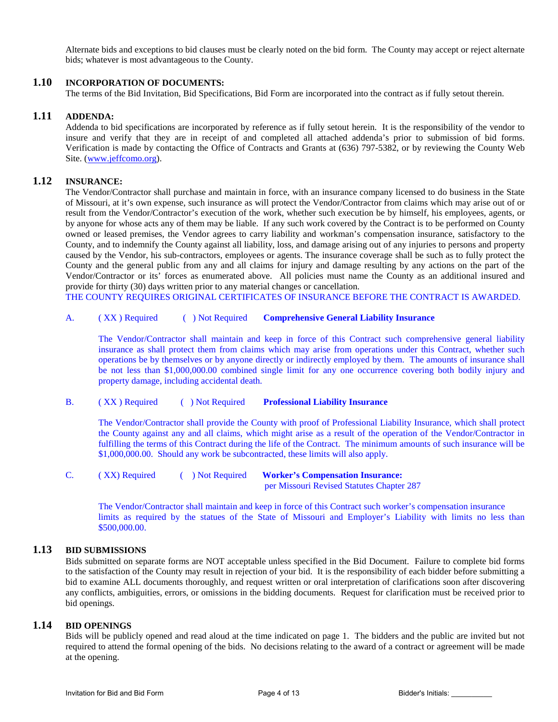Alternate bids and exceptions to bid clauses must be clearly noted on the bid form. The County may accept or reject alternate bids; whatever is most advantageous to the County.

### **1.10 INCORPORATION OF DOCUMENTS:**

The terms of the Bid Invitation, Bid Specifications, Bid Form are incorporated into the contract as if fully setout therein.

#### **1.11 ADDENDA:**

Addenda to bid specifications are incorporated by reference as if fully setout herein. It is the responsibility of the vendor to insure and verify that they are in receipt of and completed all attached addenda's prior to submission of bid forms. Verification is made by contacting the Office of Contracts and Grants at (636) 797-5382, or by reviewing the County Web Site. [\(www.jeffcomo.org\)](http://www.jeffcomo.org/).

### **1.12 INSURANCE:**

The Vendor/Contractor shall purchase and maintain in force, with an insurance company licensed to do business in the State of Missouri, at it's own expense, such insurance as will protect the Vendor/Contractor from claims which may arise out of or result from the Vendor/Contractor's execution of the work, whether such execution be by himself, his employees, agents, or by anyone for whose acts any of them may be liable. If any such work covered by the Contract is to be performed on County owned or leased premises, the Vendor agrees to carry liability and workman's compensation insurance, satisfactory to the County, and to indemnify the County against all liability, loss, and damage arising out of any injuries to persons and property caused by the Vendor, his sub-contractors, employees or agents. The insurance coverage shall be such as to fully protect the County and the general public from any and all claims for injury and damage resulting by any actions on the part of the Vendor/Contractor or its' forces as enumerated above. All policies must name the County as an additional insured and provide for thirty (30) days written prior to any material changes or cancellation.

THE COUNTY REQUIRES ORIGINAL CERTIFICATES OF INSURANCE BEFORE THE CONTRACT IS AWARDED.

#### A. ( XX ) Required ( ) Not Required **Comprehensive General Liability Insurance**

The Vendor/Contractor shall maintain and keep in force of this Contract such comprehensive general liability insurance as shall protect them from claims which may arise from operations under this Contract, whether such operations be by themselves or by anyone directly or indirectly employed by them. The amounts of insurance shall be not less than \$1,000,000.00 combined single limit for any one occurrence covering both bodily injury and property damage, including accidental death.

#### B. ( XX ) Required ( ) Not Required **Professional Liability Insurance**

The Vendor/Contractor shall provide the County with proof of Professional Liability Insurance, which shall protect the County against any and all claims, which might arise as a result of the operation of the Vendor/Contractor in fulfilling the terms of this Contract during the life of the Contract. The minimum amounts of such insurance will be \$1,000,000.00. Should any work be subcontracted, these limits will also apply.

| (XX) Required | $\Box$ Not Required | <b>Worker's Compensation Insurance:</b>   |  |  |
|---------------|---------------------|-------------------------------------------|--|--|
|               |                     | per Missouri Revised Statutes Chapter 287 |  |  |

 The Vendor/Contractor shall maintain and keep in force of this Contract such worker's compensation insurance limits as required by the statues of the State of Missouri and Employer's Liability with limits no less than \$500,000.00.

#### **1.13 BID SUBMISSIONS**

Bids submitted on separate forms are NOT acceptable unless specified in the Bid Document. Failure to complete bid forms to the satisfaction of the County may result in rejection of your bid. It is the responsibility of each bidder before submitting a bid to examine ALL documents thoroughly, and request written or oral interpretation of clarifications soon after discovering any conflicts, ambiguities, errors, or omissions in the bidding documents. Request for clarification must be received prior to bid openings.

#### **1.14 BID OPENINGS**

Bids will be publicly opened and read aloud at the time indicated on page 1. The bidders and the public are invited but not required to attend the formal opening of the bids. No decisions relating to the award of a contract or agreement will be made at the opening.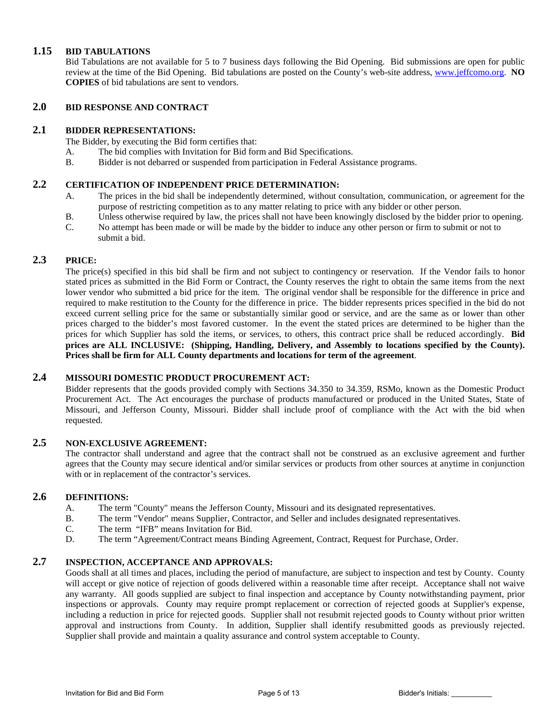#### **1.15 BID TABULATIONS**

Bid Tabulations are not available for 5 to 7 business days following the Bid Opening. Bid submissions are open for public review at the time of the Bid Opening. Bid tabulations are posted on the County's web-site address, [www.jeffcomo.org.](http://www.jeffcomo.org/) **NO COPIES** of bid tabulations are sent to vendors.

## **2.0 BID RESPONSE AND CONTRACT**

#### **2.1 BIDDER REPRESENTATIONS:**

The Bidder, by executing the Bid form certifies that:

- A. The bid complies with Invitation for Bid form and Bid Specifications.
- B. Bidder is not debarred or suspended from participation in Federal Assistance programs.

### **2.2 CERTIFICATION OF INDEPENDENT PRICE DETERMINATION:**

- A. The prices in the bid shall be independently determined, without consultation, communication, or agreement for the purpose of restricting competition as to any matter relating to price with any bidder or other person.
- B. Unless otherwise required by law, the prices shall not have been knowingly disclosed by the bidder prior to opening.
- C. No attempt has been made or will be made by the bidder to induce any other person or firm to submit or not to submit a bid.

#### **2.3 PRICE:**

The price(s) specified in this bid shall be firm and not subject to contingency or reservation. If the Vendor fails to honor stated prices as submitted in the Bid Form or Contract, the County reserves the right to obtain the same items from the next lower vendor who submitted a bid price for the item. The original vendor shall be responsible for the difference in price and required to make restitution to the County for the difference in price. The bidder represents prices specified in the bid do not exceed current selling price for the same or substantially similar good or service, and are the same as or lower than other prices charged to the bidder's most favored customer. In the event the stated prices are determined to be higher than the prices for which Supplier has sold the items, or services, to others, this contract price shall be reduced accordingly. **Bid prices are ALL INCLUSIVE: (Shipping, Handling, Delivery, and Assembly to locations specified by the County). Prices shall be firm for ALL County departments and locations for term of the agreement**.

### **2.4 MISSOURI DOMESTIC PRODUCT PROCUREMENT ACT:**

Bidder represents that the goods provided comply with Sections 34.350 to 34.359, RSMo, known as the Domestic Product Procurement Act. The Act encourages the purchase of products manufactured or produced in the United States, State of Missouri, and Jefferson County, Missouri. Bidder shall include proof of compliance with the Act with the bid when requested.

## **2.5 NON-EXCLUSIVE AGREEMENT:**

The contractor shall understand and agree that the contract shall not be construed as an exclusive agreement and further agrees that the County may secure identical and/or similar services or products from other sources at anytime in conjunction with or in replacement of the contractor's services.

#### **2.6 DEFINITIONS:**

- A. The term "County" means the Jefferson County, Missouri and its designated representatives.
- B. The term "Vendor" means Supplier, Contractor, and Seller and includes designated representatives.
- C. The term "IFB" means Invitation for Bid.
- D. The term "Agreement/Contract means Binding Agreement, Contract, Request for Purchase, Order.

#### **2.7 INSPECTION, ACCEPTANCE AND APPROVALS:**

Goods shall at all times and places, including the period of manufacture, are subject to inspection and test by County. County will accept or give notice of rejection of goods delivered within a reasonable time after receipt. Acceptance shall not waive any warranty. All goods supplied are subject to final inspection and acceptance by County notwithstanding payment, prior inspections or approvals. County may require prompt replacement or correction of rejected goods at Supplier's expense, including a reduction in price for rejected goods. Supplier shall not resubmit rejected goods to County without prior written approval and instructions from County. In addition, Supplier shall identify resubmitted goods as previously rejected. Supplier shall provide and maintain a quality assurance and control system acceptable to County.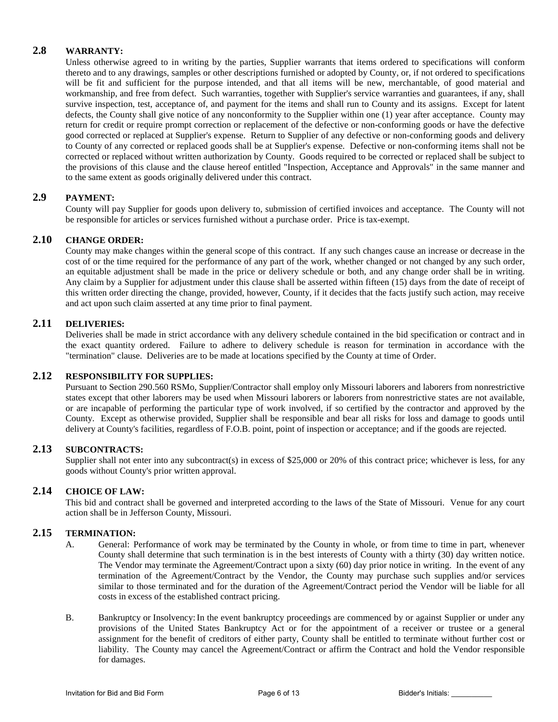### **2.8 WARRANTY:**

Unless otherwise agreed to in writing by the parties, Supplier warrants that items ordered to specifications will conform thereto and to any drawings, samples or other descriptions furnished or adopted by County, or, if not ordered to specifications will be fit and sufficient for the purpose intended, and that all items will be new, merchantable, of good material and workmanship, and free from defect. Such warranties, together with Supplier's service warranties and guarantees, if any, shall survive inspection, test, acceptance of, and payment for the items and shall run to County and its assigns. Except for latent defects, the County shall give notice of any nonconformity to the Supplier within one (1) year after acceptance. County may return for credit or require prompt correction or replacement of the defective or non-conforming goods or have the defective good corrected or replaced at Supplier's expense. Return to Supplier of any defective or non-conforming goods and delivery to County of any corrected or replaced goods shall be at Supplier's expense. Defective or non-conforming items shall not be corrected or replaced without written authorization by County. Goods required to be corrected or replaced shall be subject to the provisions of this clause and the clause hereof entitled "Inspection, Acceptance and Approvals" in the same manner and to the same extent as goods originally delivered under this contract.

### **2.9 PAYMENT:**

County will pay Supplier for goods upon delivery to, submission of certified invoices and acceptance. The County will not be responsible for articles or services furnished without a purchase order. Price is tax-exempt.

#### **2.10 CHANGE ORDER:**

County may make changes within the general scope of this contract. If any such changes cause an increase or decrease in the cost of or the time required for the performance of any part of the work, whether changed or not changed by any such order, an equitable adjustment shall be made in the price or delivery schedule or both, and any change order shall be in writing. Any claim by a Supplier for adjustment under this clause shall be asserted within fifteen (15) days from the date of receipt of this written order directing the change, provided, however, County, if it decides that the facts justify such action, may receive and act upon such claim asserted at any time prior to final payment.

### **2.11 DELIVERIES:**

Deliveries shall be made in strict accordance with any delivery schedule contained in the bid specification or contract and in the exact quantity ordered. Failure to adhere to delivery schedule is reason for termination in accordance with the "termination" clause. Deliveries are to be made at locations specified by the County at time of Order.

#### **2.12 RESPONSIBILITY FOR SUPPLIES:**

Pursuant to Section 290.560 RSMo, Supplier/Contractor shall employ only Missouri laborers and laborers from nonrestrictive states except that other laborers may be used when Missouri laborers or laborers from nonrestrictive states are not available, or are incapable of performing the particular type of work involved, if so certified by the contractor and approved by the County. Except as otherwise provided, Supplier shall be responsible and bear all risks for loss and damage to goods until delivery at County's facilities, regardless of F.O.B. point, point of inspection or acceptance; and if the goods are rejected.

#### **2.13 SUBCONTRACTS:**

Supplier shall not enter into any subcontract(s) in excess of \$25,000 or 20% of this contract price; whichever is less, for any goods without County's prior written approval.

### **2.14 CHOICE OF LAW:**

This bid and contract shall be governed and interpreted according to the laws of the State of Missouri. Venue for any court action shall be in Jefferson County, Missouri.

### **2.15 TERMINATION:**

- A. General: Performance of work may be terminated by the County in whole, or from time to time in part, whenever County shall determine that such termination is in the best interests of County with a thirty (30) day written notice. The Vendor may terminate the Agreement/Contract upon a sixty (60) day prior notice in writing. In the event of any termination of the Agreement/Contract by the Vendor, the County may purchase such supplies and/or services similar to those terminated and for the duration of the Agreement/Contract period the Vendor will be liable for all costs in excess of the established contract pricing.
- B. Bankruptcy or Insolvency:In the event bankruptcy proceedings are commenced by or against Supplier or under any provisions of the United States Bankruptcy Act or for the appointment of a receiver or trustee or a general assignment for the benefit of creditors of either party, County shall be entitled to terminate without further cost or liability. The County may cancel the Agreement/Contract or affirm the Contract and hold the Vendor responsible for damages.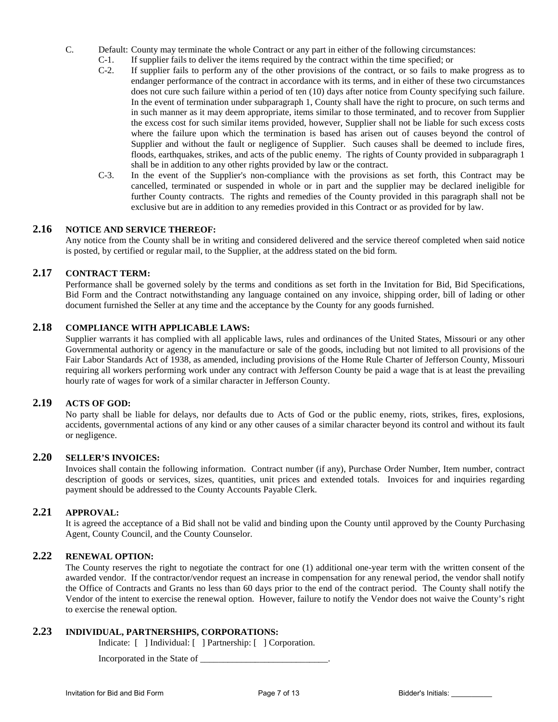- C. Default: County may terminate the whole Contract or any part in either of the following circumstances:
	- C-1. If supplier fails to deliver the items required by the contract within the time specified; or C-2. If supplier fails to perform any of the other provisions of the contract, or so fails to m
	- If supplier fails to perform any of the other provisions of the contract, or so fails to make progress as to endanger performance of the contract in accordance with its terms, and in either of these two circumstances does not cure such failure within a period of ten (10) days after notice from County specifying such failure. In the event of termination under subparagraph 1, County shall have the right to procure, on such terms and in such manner as it may deem appropriate, items similar to those terminated, and to recover from Supplier the excess cost for such similar items provided, however, Supplier shall not be liable for such excess costs where the failure upon which the termination is based has arisen out of causes beyond the control of Supplier and without the fault or negligence of Supplier. Such causes shall be deemed to include fires, floods, earthquakes, strikes, and acts of the public enemy. The rights of County provided in subparagraph 1 shall be in addition to any other rights provided by law or the contract.
	- C-3. In the event of the Supplier's non-compliance with the provisions as set forth, this Contract may be cancelled, terminated or suspended in whole or in part and the supplier may be declared ineligible for further County contracts. The rights and remedies of the County provided in this paragraph shall not be exclusive but are in addition to any remedies provided in this Contract or as provided for by law.

#### **2.16 NOTICE AND SERVICE THEREOF:**

Any notice from the County shall be in writing and considered delivered and the service thereof completed when said notice is posted, by certified or regular mail, to the Supplier, at the address stated on the bid form.

#### **2.17 CONTRACT TERM:**

Performance shall be governed solely by the terms and conditions as set forth in the Invitation for Bid, Bid Specifications, Bid Form and the Contract notwithstanding any language contained on any invoice, shipping order, bill of lading or other document furnished the Seller at any time and the acceptance by the County for any goods furnished.

### **2.18 COMPLIANCE WITH APPLICABLE LAWS:**

Supplier warrants it has complied with all applicable laws, rules and ordinances of the United States, Missouri or any other Governmental authority or agency in the manufacture or sale of the goods, including but not limited to all provisions of the Fair Labor Standards Act of 1938, as amended, including provisions of the Home Rule Charter of Jefferson County, Missouri requiring all workers performing work under any contract with Jefferson County be paid a wage that is at least the prevailing hourly rate of wages for work of a similar character in Jefferson County.

#### **2.19 ACTS OF GOD:**

No party shall be liable for delays, nor defaults due to Acts of God or the public enemy, riots, strikes, fires, explosions, accidents, governmental actions of any kind or any other causes of a similar character beyond its control and without its fault or negligence.

### **2.20 SELLER'S INVOICES:**

Invoices shall contain the following information. Contract number (if any), Purchase Order Number, Item number, contract description of goods or services, sizes, quantities, unit prices and extended totals. Invoices for and inquiries regarding payment should be addressed to the County Accounts Payable Clerk.

#### **2.21 APPROVAL:**

It is agreed the acceptance of a Bid shall not be valid and binding upon the County until approved by the County Purchasing Agent, County Council, and the County Counselor.

#### **2.22 RENEWAL OPTION:**

The County reserves the right to negotiate the contract for one (1) additional one-year term with the written consent of the awarded vendor. If the contractor/vendor request an increase in compensation for any renewal period, the vendor shall notify the Office of Contracts and Grants no less than 60 days prior to the end of the contract period. The County shall notify the Vendor of the intent to exercise the renewal option. However, failure to notify the Vendor does not waive the County's right to exercise the renewal option.

### **2.23 INDIVIDUAL, PARTNERSHIPS, CORPORATIONS:**

Indicate: [ ] Individual: [ ] Partnership: [ ] Corporation.

Incorporated in the State of \_\_\_\_\_\_\_\_\_\_\_\_\_\_\_\_\_\_\_\_\_\_\_\_\_\_\_\_.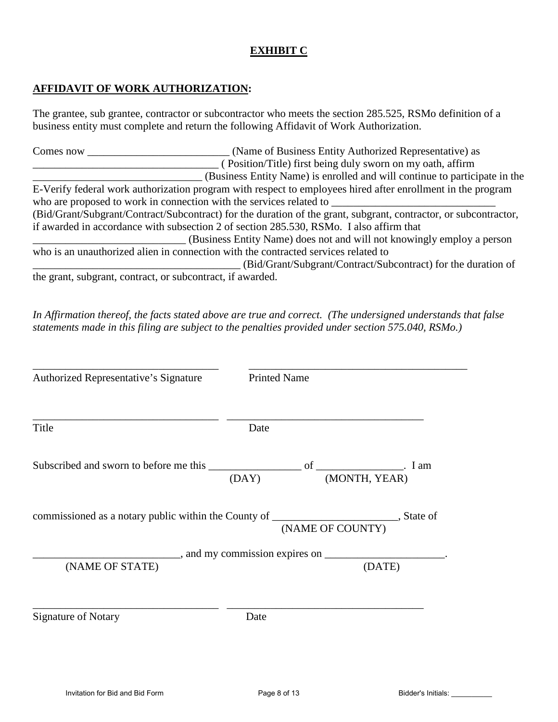## **EXHIBIT C**

## **AFFIDAVIT OF WORK AUTHORIZATION:**

The grantee, sub grantee, contractor or subcontractor who meets the section 285.525, RSMo definition of a business entity must complete and return the following Affidavit of Work Authorization.

Comes now **Comes now** (Name of Business Entity Authorized Representative) as \_\_\_\_\_\_\_\_\_\_\_\_\_\_\_\_\_\_\_\_\_\_\_\_\_\_\_\_\_\_\_\_\_\_ ( Position/Title) first being duly sworn on my oath, affirm \_\_\_\_\_\_\_\_\_\_\_\_\_\_\_\_\_\_\_\_\_\_\_\_\_\_\_\_\_\_\_ (Business Entity Name) is enrolled and will continue to participate in the E-Verify federal work authorization program with respect to employees hired after enrollment in the program who are proposed to work in connection with the services related to (Bid/Grant/Subgrant/Contract/Subcontract) for the duration of the grant, subgrant, contractor, or subcontractor, if awarded in accordance with subsection 2 of section 285.530, RSMo. I also affirm that \_\_\_\_\_\_\_\_\_\_\_\_\_\_\_\_\_\_\_\_\_\_\_\_\_\_\_\_ (Business Entity Name) does not and will not knowingly employ a person who is an unauthorized alien in connection with the contracted services related to \_\_\_\_\_\_\_\_\_\_\_\_\_\_\_\_\_\_\_\_\_\_\_\_\_\_\_\_\_\_\_\_\_\_\_\_\_\_ (Bid/Grant/Subgrant/Contract/Subcontract) for the duration of the grant, subgrant, contract, or subcontract, if awarded.

*In Affirmation thereof, the facts stated above are true and correct. (The undersigned understands that false statements made in this filing are subject to the penalties provided under section 575.040, RSMo.)* 

| Authorized Representative's Signature                                                               | <b>Printed Name</b> |                  |        |
|-----------------------------------------------------------------------------------------------------|---------------------|------------------|--------|
| Title                                                                                               | Date                |                  |        |
|                                                                                                     | (DAY)               | (MONTH, YEAR)    |        |
| commissioned as a notary public within the County of ___________________________, State of          |                     | (NAME OF COUNTY) |        |
| ____________________, and my commission expires on _____________________________<br>(NAME OF STATE) |                     |                  | (DATE) |
| <b>Signature of Notary</b>                                                                          | Date                |                  |        |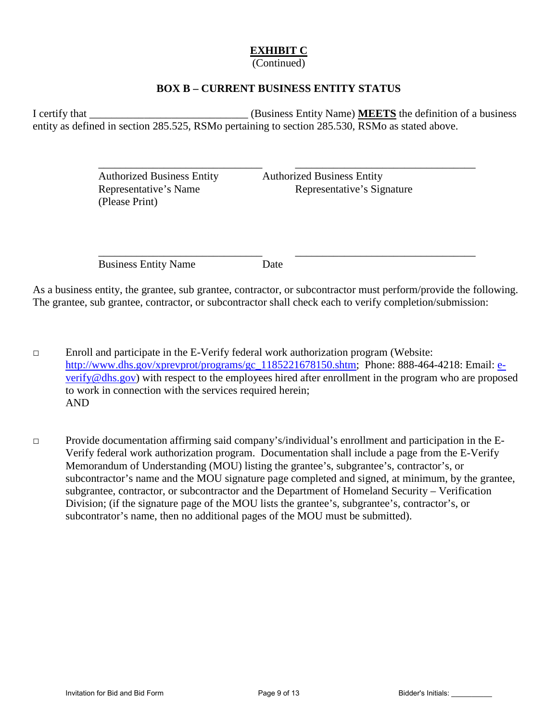## **EXHIBIT C**

(Continued)

## **BOX B – CURRENT BUSINESS ENTITY STATUS**

I certify that \_\_\_\_\_\_\_\_\_\_\_\_\_\_\_\_\_\_\_\_\_\_\_\_\_\_\_\_\_ (Business Entity Name) **MEETS** the definition of a business entity as defined in section 285.525, RSMo pertaining to section 285.530, RSMo as stated above.

 $\overline{\phantom{a}}$  ,  $\overline{\phantom{a}}$  ,  $\overline{\phantom{a}}$  ,  $\overline{\phantom{a}}$  ,  $\overline{\phantom{a}}$  ,  $\overline{\phantom{a}}$  ,  $\overline{\phantom{a}}$  ,  $\overline{\phantom{a}}$  ,  $\overline{\phantom{a}}$  ,  $\overline{\phantom{a}}$  ,  $\overline{\phantom{a}}$  ,  $\overline{\phantom{a}}$  ,  $\overline{\phantom{a}}$  ,  $\overline{\phantom{a}}$  ,  $\overline{\phantom{a}}$  ,  $\overline{\phantom{a}}$ 

 $\overline{\phantom{a}}$  ,  $\overline{\phantom{a}}$  ,  $\overline{\phantom{a}}$  ,  $\overline{\phantom{a}}$  ,  $\overline{\phantom{a}}$  ,  $\overline{\phantom{a}}$  ,  $\overline{\phantom{a}}$  ,  $\overline{\phantom{a}}$  ,  $\overline{\phantom{a}}$  ,  $\overline{\phantom{a}}$  ,  $\overline{\phantom{a}}$  ,  $\overline{\phantom{a}}$  ,  $\overline{\phantom{a}}$  ,  $\overline{\phantom{a}}$  ,  $\overline{\phantom{a}}$  ,  $\overline{\phantom{a}}$ 

 Authorized Business Entity Authorized Business Entity (Please Print)

Representative's Name Representative's Signature

Business Entity Name Date

As a business entity, the grantee, sub grantee, contractor, or subcontractor must perform/provide the following. The grantee, sub grantee, contractor, or subcontractor shall check each to verify completion/submission:

□ Enroll and participate in the E-Verify federal work authorization program (Website: [http://www.dhs.gov/xprevprot/programs/gc\\_1185221678150.shtm;](http://www.dhs.gov/xprevprot/programs/gc_1185221678150.shtm) Phone: 888-464-4218: Email: [e](mailto:e-verify@dhs.gov)[verify@dhs.gov\)](mailto:e-verify@dhs.gov) with respect to the employees hired after enrollment in the program who are proposed to work in connection with the services required herein; AND

□ Provide documentation affirming said company's/individual's enrollment and participation in the E-Verify federal work authorization program. Documentation shall include a page from the E-Verify Memorandum of Understanding (MOU) listing the grantee's, subgrantee's, contractor's, or subcontractor's name and the MOU signature page completed and signed, at minimum, by the grantee, subgrantee, contractor, or subcontractor and the Department of Homeland Security – Verification Division; (if the signature page of the MOU lists the grantee's, subgrantee's, contractor's, or subcontrator's name, then no additional pages of the MOU must be submitted).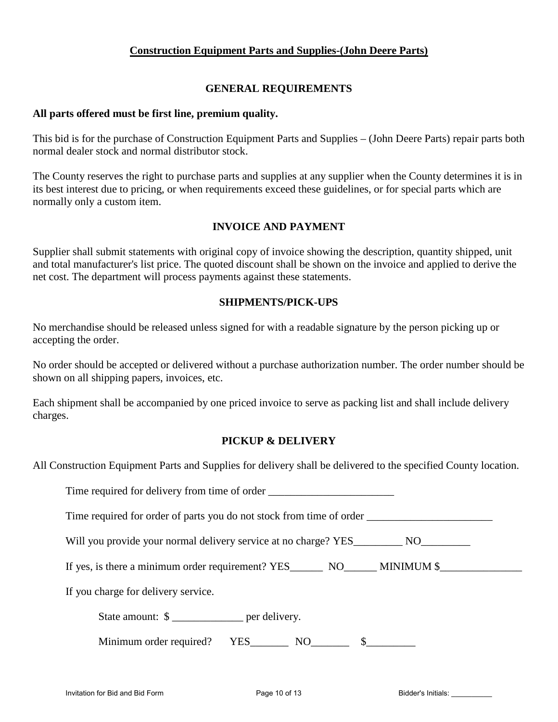## **Construction Equipment Parts and Supplies-(John Deere Parts)**

## **GENERAL REQUIREMENTS**

## **All parts offered must be first line, premium quality.**

This bid is for the purchase of Construction Equipment Parts and Supplies – (John Deere Parts) repair parts both normal dealer stock and normal distributor stock.

The County reserves the right to purchase parts and supplies at any supplier when the County determines it is in its best interest due to pricing, or when requirements exceed these guidelines, or for special parts which are normally only a custom item.

## **INVOICE AND PAYMENT**

Supplier shall submit statements with original copy of invoice showing the description, quantity shipped, unit and total manufacturer's list price. The quoted discount shall be shown on the invoice and applied to derive the net cost. The department will process payments against these statements.

## **SHIPMENTS/PICK-UPS**

No merchandise should be released unless signed for with a readable signature by the person picking up or accepting the order.

No order should be accepted or delivered without a purchase authorization number. The order number should be shown on all shipping papers, invoices, etc.

Each shipment shall be accompanied by one priced invoice to serve as packing list and shall include delivery charges.

## **PICKUP & DELIVERY**

All Construction Equipment Parts and Supplies for delivery shall be delivered to the specified County location.

| Time required for delivery from time of order __________________________________ |  |
|----------------------------------------------------------------------------------|--|
| Time required for order of parts you do not stock from time of order             |  |
| Will you provide your normal delivery service at no charge? YES NO               |  |
| If yes, is there a minimum order requirement? $YES$ $NO$ $MINIMUM$ \$            |  |
| If you charge for delivery service.                                              |  |
| State amount: \$                                                                 |  |
|                                                                                  |  |
|                                                                                  |  |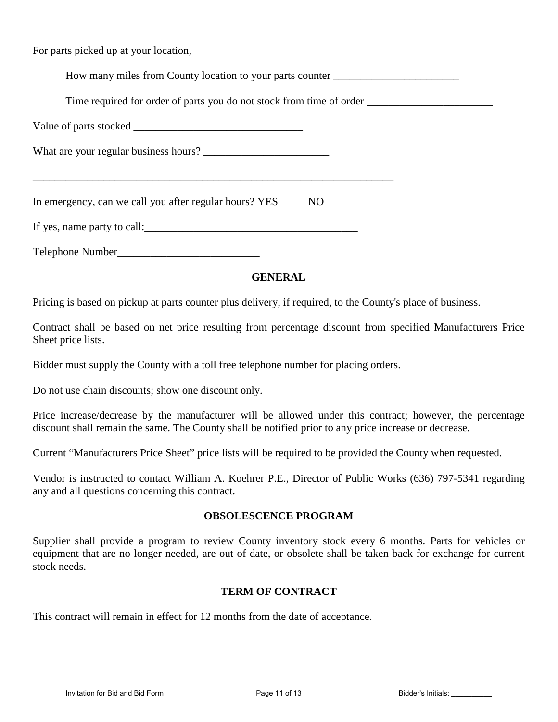For parts picked up at your location,

How many miles from County location to your parts counter \_\_\_\_\_\_\_\_\_\_\_\_\_\_\_\_\_\_\_\_\_\_\_

Time required for order of parts you do not stock from time of order \_\_\_\_\_\_\_\_\_\_\_\_\_\_\_\_\_\_\_\_\_\_\_

\_\_\_\_\_\_\_\_\_\_\_\_\_\_\_\_\_\_\_\_\_\_\_\_\_\_\_\_\_\_\_\_\_\_\_\_\_\_\_\_\_\_\_\_\_\_\_\_\_\_\_\_\_\_\_\_\_\_\_\_\_\_\_\_\_\_

Value of parts stocked \_\_\_\_\_\_\_\_\_\_\_\_\_\_\_\_\_\_\_\_\_\_\_\_\_\_\_\_\_\_\_

What are your regular business hours? \_\_\_\_\_\_\_\_\_\_\_\_\_\_\_\_\_\_\_\_\_\_\_

In emergency, can we call you after regular hours? YES NO

If yes, name party to call:

Telephone Number\_\_\_\_\_\_\_\_\_\_\_\_\_\_\_\_\_\_\_\_\_\_\_\_\_\_

## **GENERAL**

Pricing is based on pickup at parts counter plus delivery, if required, to the County's place of business.

Contract shall be based on net price resulting from percentage discount from specified Manufacturers Price Sheet price lists.

Bidder must supply the County with a toll free telephone number for placing orders.

Do not use chain discounts; show one discount only.

Price increase/decrease by the manufacturer will be allowed under this contract; however, the percentage discount shall remain the same. The County shall be notified prior to any price increase or decrease.

Current "Manufacturers Price Sheet" price lists will be required to be provided the County when requested.

Vendor is instructed to contact William A. Koehrer P.E., Director of Public Works (636) 797-5341 regarding any and all questions concerning this contract.

## **OBSOLESCENCE PROGRAM**

Supplier shall provide a program to review County inventory stock every 6 months. Parts for vehicles or equipment that are no longer needed, are out of date, or obsolete shall be taken back for exchange for current stock needs.

## **TERM OF CONTRACT**

This contract will remain in effect for 12 months from the date of acceptance.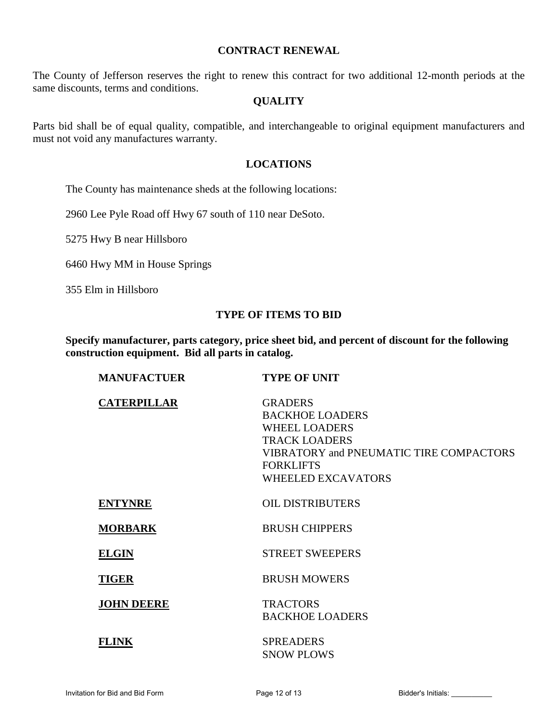## **CONTRACT RENEWAL**

The County of Jefferson reserves the right to renew this contract for two additional 12-month periods at the same discounts, terms and conditions.

### **QUALITY**

Parts bid shall be of equal quality, compatible, and interchangeable to original equipment manufacturers and must not void any manufactures warranty.

## **LOCATIONS**

The County has maintenance sheds at the following locations:

2960 Lee Pyle Road off Hwy 67 south of 110 near DeSoto.

5275 Hwy B near Hillsboro

6460 Hwy MM in House Springs

355 Elm in Hillsboro

### **TYPE OF ITEMS TO BID**

**Specify manufacturer, parts category, price sheet bid, and percent of discount for the following construction equipment. Bid all parts in catalog.**

| <b>MANUFACTUER</b> | <b>TYPE OF UNIT</b>                                                                                                                                                                         |
|--------------------|---------------------------------------------------------------------------------------------------------------------------------------------------------------------------------------------|
| <b>CATERPILLAR</b> | <b>GRADERS</b><br><b>BACKHOE LOADERS</b><br><b>WHEEL LOADERS</b><br><b>TRACK LOADERS</b><br><b>VIBRATORY and PNEUMATIC TIRE COMPACTORS</b><br><b>FORKLIFTS</b><br><b>WHEELED EXCAVATORS</b> |
| <b>ENTYNRE</b>     | <b>OIL DISTRIBUTERS</b>                                                                                                                                                                     |
| <b>MORBARK</b>     | <b>BRUSH CHIPPERS</b>                                                                                                                                                                       |
| <b>ELGIN</b>       | <b>STREET SWEEPERS</b>                                                                                                                                                                      |
| <b>TIGER</b>       | <b>BRUSH MOWERS</b>                                                                                                                                                                         |
| <b>JOHN DEERE</b>  | <b>TRACTORS</b><br><b>BACKHOE LOADERS</b>                                                                                                                                                   |
| <b>FLINK</b>       | <b>SPREADERS</b><br><b>SNOW PLOWS</b>                                                                                                                                                       |